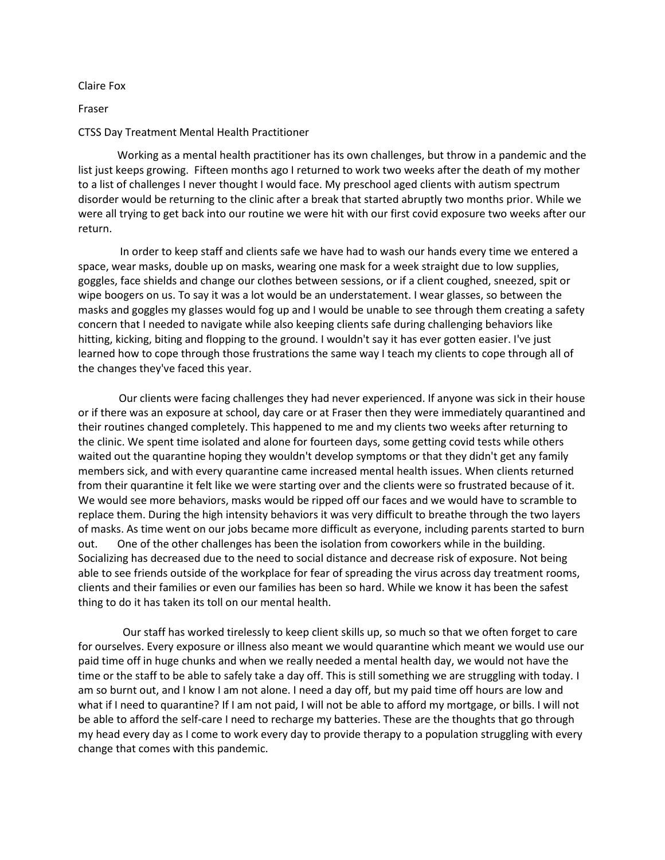Claire Fox

## Fraser

## CTSS Day Treatment Mental Health Practitioner

Working as a mental health practitioner has its own challenges, but throw in a pandemic and the list just keeps growing. Fifteen months ago I returned to work two weeks after the death of my mother to a list of challenges I never thought I would face. My preschool aged clients with autism spectrum disorder would be returning to the clinic after a break that started abruptly two months prior. While we were all trying to get back into our routine we were hit with our first covid exposure two weeks after our return.

 In order to keep staff and clients safe we have had to wash our hands every time we entered a space, wear masks, double up on masks, wearing one mask for a week straight due to low supplies, goggles, face shields and change our clothes between sessions, or if a client coughed, sneezed, spit or wipe boogers on us. To say it was a lot would be an understatement. I wear glasses, so between the masks and goggles my glasses would fog up and I would be unable to see through them creating a safety concern that I needed to navigate while also keeping clients safe during challenging behaviors like hitting, kicking, biting and flopping to the ground. I wouldn't say it has ever gotten easier. I've just learned how to cope through those frustrations the same way I teach my clients to cope through all of the changes they've faced this year.

 Our clients were facing challenges they had never experienced. If anyone was sick in their house or if there was an exposure at school, day care or at Fraser then they were immediately quarantined and their routines changed completely. This happened to me and my clients two weeks after returning to the clinic. We spent time isolated and alone for fourteen days, some getting covid tests while others waited out the quarantine hoping they wouldn't develop symptoms or that they didn't get any family members sick, and with every quarantine came increased mental health issues. When clients returned from their quarantine it felt like we were starting over and the clients were so frustrated because of it. We would see more behaviors, masks would be ripped off our faces and we would have to scramble to replace them. During the high intensity behaviors it was very difficult to breathe through the two layers of masks. As time went on our jobs became more difficult as everyone, including parents started to burn out. One of the other challenges has been the isolation from coworkers while in the building. Socializing has decreased due to the need to social distance and decrease risk of exposure. Not being able to see friends outside of the workplace for fear of spreading the virus across day treatment rooms, clients and their families or even our families has been so hard. While we know it has been the safest thing to do it has taken its toll on our mental health.

 Our staff has worked tirelessly to keep client skills up, so much so that we often forget to care for ourselves. Every exposure or illness also meant we would quarantine which meant we would use our paid time off in huge chunks and when we really needed a mental health day, we would not have the time or the staff to be able to safely take a day off. This is still something we are struggling with today. I am so burnt out, and I know I am not alone. I need a day off, but my paid time off hours are low and what if I need to quarantine? If I am not paid, I will not be able to afford my mortgage, or bills. I will not be able to afford the self-care I need to recharge my batteries. These are the thoughts that go through my head every day as I come to work every day to provide therapy to a population struggling with every change that comes with this pandemic.